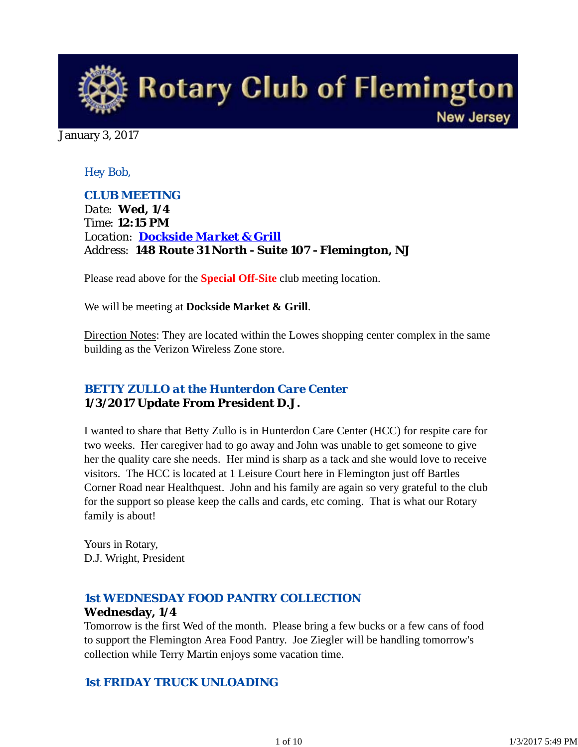

January 3, 2017

## *Hey Bob,*

*CLUB MEETING Date: Wed, 1/4 Time: 12:15 PM Location: Dockside Market & Grill Address: 148 Route 31 North - Suite 107 - Flemington, NJ*

Please read above for the **Special Off-Site** club meeting location.

We will be meeting at **Dockside Market & Grill**.

Direction Notes: They are located within the Lowes shopping center complex in the same building as the Verizon Wireless Zone store.

## *BETTY ZULLO at the Hunterdon Care Center* **1/3/2017 Update From President D.J.**

I wanted to share that Betty Zullo is in Hunterdon Care Center (HCC) for respite care for two weeks. Her caregiver had to go away and John was unable to get someone to give her the quality care she needs. Her mind is sharp as a tack and she would love to receive visitors. The HCC is located at 1 Leisure Court here in Flemington just off Bartles Corner Road near Healthquest. John and his family are again so very grateful to the club for the support so please keep the calls and cards, etc coming. That is what our Rotary family is about!

Yours in Rotary, D.J. Wright, President

## *1st WEDNESDAY FOOD PANTRY COLLECTION* **Wednesday, 1/4**

Tomorrow is the first Wed of the month. Please bring a few bucks or a few cans of food to support the Flemington Area Food Pantry. Joe Ziegler will be handling tomorrow's collection while Terry Martin enjoys some vacation time.

## *1st FRIDAY TRUCK UNLOADING*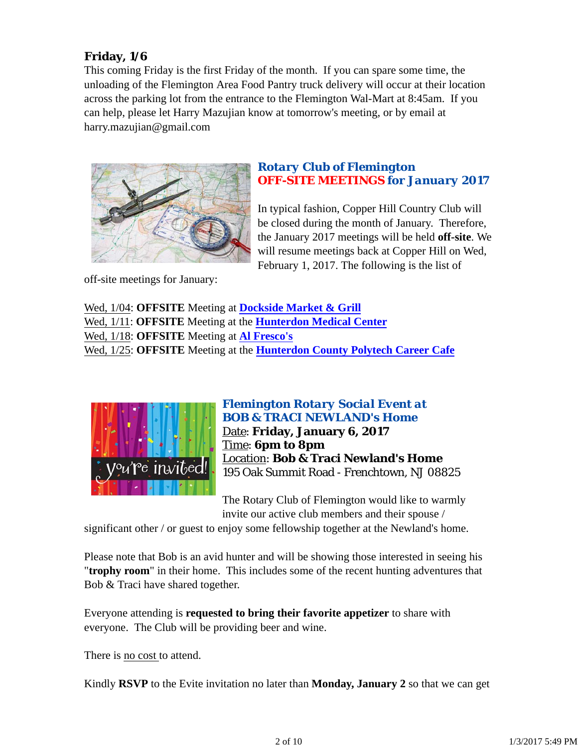# **Friday, 1/6**

This coming Friday is the first Friday of the month. If you can spare some time, the unloading of the Flemington Area Food Pantry truck delivery will occur at their location across the parking lot from the entrance to the Flemington Wal-Mart at 8:45am. If you can help, please let Harry Mazujian know at tomorrow's meeting, or by email at harry.mazujian@gmail.com



## *Rotary Club of Flemington OFF-SITE MEETINGS for January 2017*

In typical fashion, Copper Hill Country Club will be closed during the month of January. Therefore, the January 2017 meetings will be held **off-site**. We will resume meetings back at Copper Hill on Wed, February 1, 2017. The following is the list of

off-site meetings for January:

Wed, 1/04: **OFFSITE** Meeting at **Dockside Market & Grill** Wed, 1/11: **OFFSITE** Meeting at the **Hunterdon Medical Center** Wed, 1/18: **OFFSITE** Meeting at **Al Fresco's** Wed, 1/25: **OFFSITE** Meeting at the **Hunterdon County Polytech Career Cafe**



*Flemington Rotary Social Event at BOB & TRACI NEWLAND's Home* Date: **Friday, January 6, 2017** Time: **6pm to 8pm** Location: **Bob & Traci Newland's Home** 195 Oak Summit Road - Frenchtown, NJ 08825

The Rotary Club of Flemington would like to warmly invite our active club members and their spouse /

significant other / or guest to enjoy some fellowship together at the Newland's home.

Please note that Bob is an avid hunter and will be showing those interested in seeing his "**trophy room**" in their home. This includes some of the recent hunting adventures that Bob & Traci have shared together.

Everyone attending is **requested to bring their favorite appetizer** to share with everyone. The Club will be providing beer and wine.

There is no cost to attend.

Kindly **RSVP** to the Evite invitation no later than **Monday, January 2** so that we can get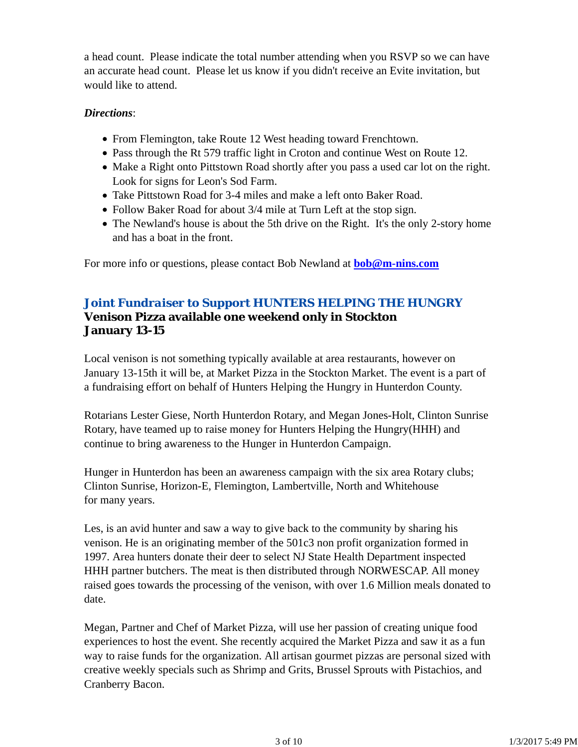a head count. Please indicate the total number attending when you RSVP so we can have an accurate head count. Please let us know if you didn't receive an Evite invitation, but would like to attend.

#### *Directions*:

- From Flemington, take Route 12 West heading toward Frenchtown.
- Pass through the Rt 579 traffic light in Croton and continue West on Route 12.
- Make a Right onto Pittstown Road shortly after you pass a used car lot on the right. Look for signs for Leon's Sod Farm.
- Take Pittstown Road for 3-4 miles and make a left onto Baker Road.
- Follow Baker Road for about 3/4 mile at Turn Left at the stop sign.
- The Newland's house is about the 5th drive on the Right. It's the only 2-story home and has a boat in the front.

For more info or questions, please contact Bob Newland at **bob@m-nins.com**

## *Joint Fundraiser to Support HUNTERS HELPING THE HUNGRY* **Venison Pizza available one weekend only in Stockton January 13-15**

Local venison is not something typically available at area restaurants, however on January 13-15th it will be, at Market Pizza in the Stockton Market. The event is a part of a fundraising effort on behalf of Hunters Helping the Hungry in Hunterdon County.

Rotarians Lester Giese, North Hunterdon Rotary, and Megan Jones-Holt, Clinton Sunrise Rotary, have teamed up to raise money for Hunters Helping the Hungry(HHH) and continue to bring awareness to the Hunger in Hunterdon Campaign.

Hunger in Hunterdon has been an awareness campaign with the six area Rotary clubs; Clinton Sunrise, Horizon-E, Flemington, Lambertville, North and Whitehouse for many years.

Les, is an avid hunter and saw a way to give back to the community by sharing his venison. He is an originating member of the 501c3 non profit organization formed in 1997. Area hunters donate their deer to select NJ State Health Department inspected HHH partner butchers. The meat is then distributed through NORWESCAP. All money raised goes towards the processing of the venison, with over 1.6 Million meals donated to date.

Megan, Partner and Chef of Market Pizza, will use her passion of creating unique food experiences to host the event. She recently acquired the Market Pizza and saw it as a fun way to raise funds for the organization. All artisan gourmet pizzas are personal sized with creative weekly specials such as Shrimp and Grits, Brussel Sprouts with Pistachios, and Cranberry Bacon.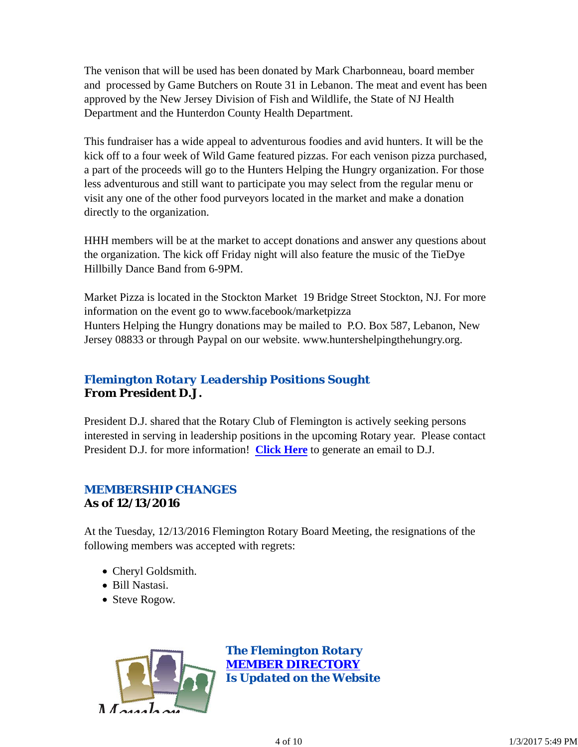The venison that will be used has been donated by Mark Charbonneau, board member and processed by Game Butchers on Route 31 in Lebanon. The meat and event has been approved by the New Jersey Division of Fish and Wildlife, the State of NJ Health Department and the Hunterdon County Health Department.

This fundraiser has a wide appeal to adventurous foodies and avid hunters. It will be the kick off to a four week of Wild Game featured pizzas. For each venison pizza purchased, a part of the proceeds will go to the Hunters Helping the Hungry organization. For those less adventurous and still want to participate you may select from the regular menu or visit any one of the other food purveyors located in the market and make a donation directly to the organization.

HHH members will be at the market to accept donations and answer any questions about the organization. The kick off Friday night will also feature the music of the TieDye Hillbilly Dance Band from 6-9PM.

Market Pizza is located in the Stockton Market 19 Bridge Street Stockton, NJ. For more information on the event go to www.facebook/marketpizza Hunters Helping the Hungry donations may be mailed to P.O. Box 587, Lebanon, New Jersey 08833 or through Paypal on our website. www.huntershelpingthehungry.org.

# *Flemington Rotary Leadership Positions Sought* **From President D.J.**

President D.J. shared that the Rotary Club of Flemington is actively seeking persons interested in serving in leadership positions in the upcoming Rotary year. Please contact President D.J. for more information! **Click Here** to generate an email to D.J.

# *MEMBERSHIP CHANGES* **As of 12/13/2016**

At the Tuesday, 12/13/2016 Flemington Rotary Board Meeting, the resignations of the following members was accepted with regrets:

- Cheryl Goldsmith.
- Bill Nastasi.
- Steve Rogow.

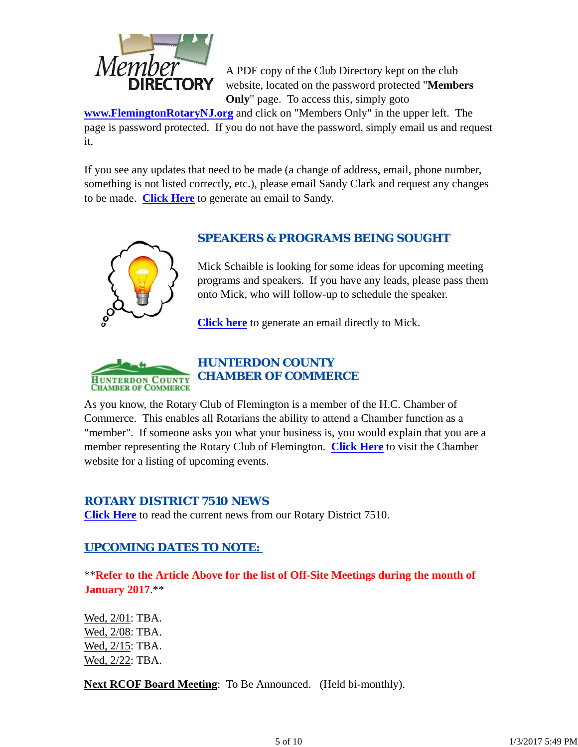

A PDF copy of the Club Directory kept on the club website, located on the password protected "**Members Only**" page. To access this, simply goto

**www.FlemingtonRotaryNJ.org** and click on "Members Only" in the upper left. The page is password protected. If you do not have the password, simply email us and request it.

If you see any updates that need to be made (a change of address, email, phone number, something is not listed correctly, etc.), please email Sandy Clark and request any changes to be made. **Click Here** to generate an email to Sandy.



# *SPEAKERS & PROGRAMS BEING SOUGHT*

Mick Schaible is looking for some ideas for upcoming meeting programs and speakers. If you have any leads, please pass them onto Mick, who will follow-up to schedule the speaker.

**Click here** to generate an email directly to Mick.



# *HUNTERDON COUNTY CHAMBER OF COMMERCE*

As you know, the Rotary Club of Flemington is a member of the H.C. Chamber of Commerce. This enables all Rotarians the ability to attend a Chamber function as a "member". If someone asks you what your business is, you would explain that you are a member representing the Rotary Club of Flemington. **Click Here** to visit the Chamber website for a listing of upcoming events.

## *ROTARY DISTRICT 7510 NEWS*

**Click Here** to read the current news from our Rotary District 7510.

# *UPCOMING DATES TO NOTE:*

\*\***Refer to the Article Above for the list of Off-Site Meetings during the month of January 2017**.\*\*

Wed, 2/01: TBA. Wed, 2/08: TBA. Wed, 2/15: TBA. Wed, 2/22: TBA.

**Next RCOF Board Meeting**: To Be Announced. (Held bi-monthly).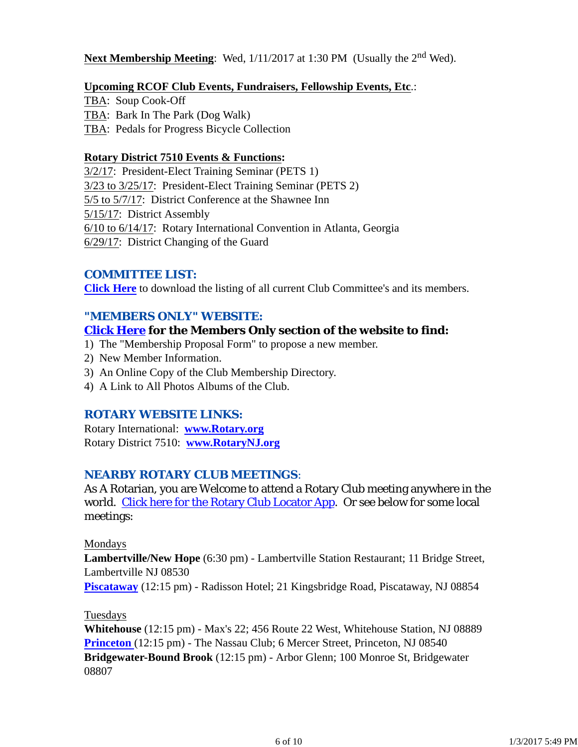## **Next Membership Meeting**: Wed,  $1/11/2017$  at 1:30 PM (Usually the 2<sup>nd</sup> Wed).

#### **Upcoming RCOF Club Events, Fundraisers, Fellowship Events, Etc**.:

TBA: Soup Cook-Off TBA: Bark In The Park (Dog Walk) TBA: Pedals for Progress Bicycle Collection

#### **Rotary District 7510 Events & Functions:**

3/2/17: President-Elect Training Seminar (PETS 1) 3/23 to 3/25/17: President-Elect Training Seminar (PETS 2) 5/5 to 5/7/17: District Conference at the Shawnee Inn 5/15/17: District Assembly 6/10 to 6/14/17: Rotary International Convention in Atlanta, Georgia 6/29/17: District Changing of the Guard

## *COMMITTEE LIST:*

**Click Here** to download the listing of all current Club Committee's and its members.

#### *"MEMBERS ONLY" WEBSITE:*

#### **Click Here for the Members Only section of the website to find:**

- 1) The "Membership Proposal Form" to propose a new member.
- 2) New Member Information.
- 3) An Online Copy of the Club Membership Directory.
- 4) A Link to All Photos Albums of the Club.

#### *ROTARY WEBSITE LINKS:*

Rotary International: **www.Rotary.org** Rotary District 7510: **www.RotaryNJ.org**

## *NEARBY ROTARY CLUB MEETINGS:*

As A Rotarian, you are Welcome to attend a Rotary Club meeting anywhere in the world. Click here for the Rotary Club Locator App. Or see below for some local meetings:

#### Mondays

**Lambertville/New Hope** (6:30 pm) - Lambertville Station Restaurant; 11 Bridge Street, Lambertville NJ 08530

**Piscataway** (12:15 pm) - Radisson Hotel; 21 Kingsbridge Road, Piscataway, NJ 08854

#### Tuesdays

**Whitehouse** (12:15 pm) - Max's 22; 456 Route 22 West, Whitehouse Station, NJ 08889 **Princeton** (12:15 pm) - The Nassau Club; 6 Mercer Street, Princeton, NJ 08540 **Bridgewater-Bound Brook** (12:15 pm) - Arbor Glenn; 100 Monroe St, Bridgewater 08807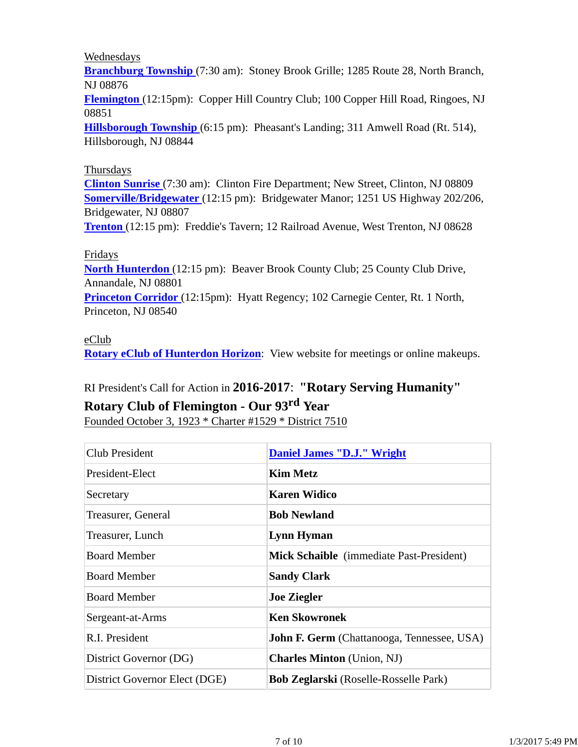#### Wednesdays

**Branchburg Township** (7:30 am): Stoney Brook Grille; 1285 Route 28, North Branch, NJ 08876

**Flemington** (12:15pm): Copper Hill Country Club; 100 Copper Hill Road, Ringoes, NJ 08851

**Hillsborough Township** (6:15 pm): Pheasant's Landing; 311 Amwell Road (Rt. 514), Hillsborough, NJ 08844

#### Thursdays

**Clinton Sunrise** (7:30 am): Clinton Fire Department; New Street, Clinton, NJ 08809 **Somerville/Bridgewater** (12:15 pm): Bridgewater Manor; 1251 US Highway 202/206, Bridgewater, NJ 08807

**Trenton** (12:15 pm): Freddie's Tavern; 12 Railroad Avenue, West Trenton, NJ 08628

#### Fridays

**North Hunterdon** (12:15 pm): Beaver Brook County Club; 25 County Club Drive, Annandale, NJ 08801

**Princeton Corridor** (12:15pm): Hyatt Regency; 102 Carnegie Center, Rt. 1 North, Princeton, NJ 08540

## eClub

**Rotary eClub of Hunterdon Horizon**: View website for meetings or online makeups.

# RI President's Call for Action in **2016-2017**: **"Rotary Serving Humanity"**

# **Rotary Club of Flemington - Our 93rd Year**

Founded October 3, 1923 \* Charter #1529 \* District 7510

| Club President                | <b>Daniel James "D.J." Wright</b>                 |
|-------------------------------|---------------------------------------------------|
| President-Elect               | <b>Kim Metz</b>                                   |
| Secretary                     | <b>Karen Widico</b>                               |
| Treasurer, General            | <b>Bob Newland</b>                                |
| Treasurer, Lunch              | <b>Lynn Hyman</b>                                 |
| <b>Board Member</b>           | Mick Schaible (immediate Past-President)          |
| <b>Board Member</b>           | <b>Sandy Clark</b>                                |
| <b>Board Member</b>           | <b>Joe Ziegler</b>                                |
| Sergeant-at-Arms              | <b>Ken Skowronek</b>                              |
| R.I. President                | <b>John F. Germ</b> (Chattanooga, Tennessee, USA) |
| District Governor (DG)        | <b>Charles Minton</b> (Union, NJ)                 |
| District Governor Elect (DGE) | <b>Bob Zeglarski</b> (Roselle-Rosselle Park)      |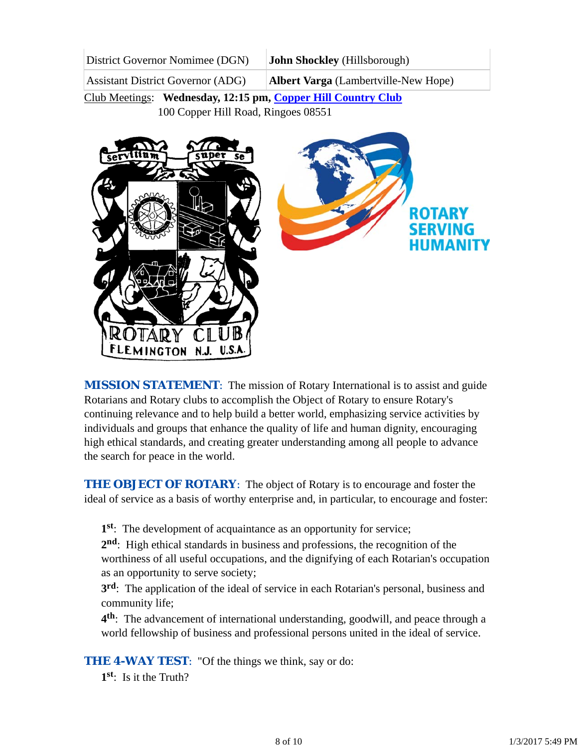| District Governor Nomimee (DGN)          | <b>John Shockley</b> (Hillsborough)         |
|------------------------------------------|---------------------------------------------|
| <b>Assistant District Governor (ADG)</b> | <b>Albert Varga</b> (Lambertville-New Hope) |

Club Meetings: **Wednesday, 12:15 pm, Copper Hill Country Club** 100 Copper Hill Road, Ringoes 08551



*MISSION STATEMENT*: The mission of Rotary International is to assist and guide Rotarians and Rotary clubs to accomplish the Object of Rotary to ensure Rotary's continuing relevance and to help build a better world, emphasizing service activities by individuals and groups that enhance the quality of life and human dignity, encouraging high ethical standards, and creating greater understanding among all people to advance the search for peace in the world.

**THE OBJECT OF ROTARY:** The object of Rotary is to encourage and foster the ideal of service as a basis of worthy enterprise and, in particular, to encourage and foster:

**1st**: The development of acquaintance as an opportunity for service;

**2nd**: High ethical standards in business and professions, the recognition of the worthiness of all useful occupations, and the dignifying of each Rotarian's occupation as an opportunity to serve society;

**3rd**: The application of the ideal of service in each Rotarian's personal, business and community life;

**4th**: The advancement of international understanding, goodwill, and peace through a world fellowship of business and professional persons united in the ideal of service.

**THE 4-WAY TEST:** "Of the things we think, say or do:

**1st**: Is it the Truth?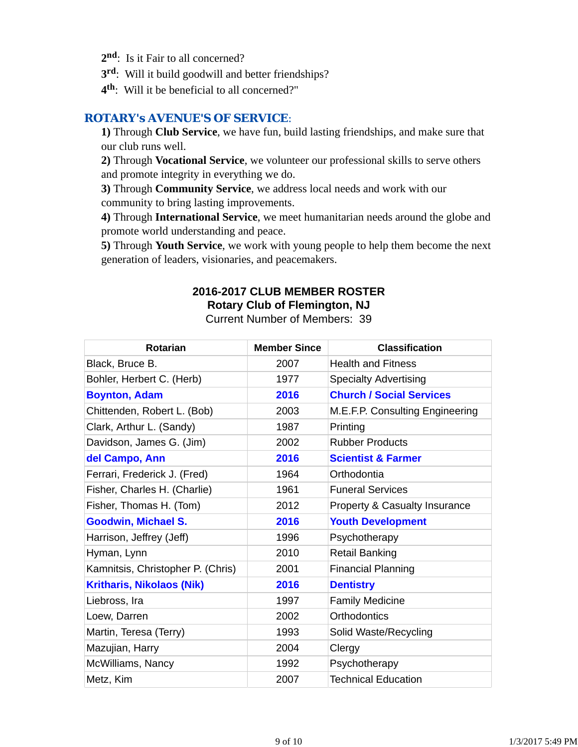- 2<sup>nd</sup>: Is it Fair to all concerned?
- **3rd**: Will it build goodwill and better friendships?
- **4th**: Will it be beneficial to all concerned?"

## *ROTARY's AVENUE'S OF SERVICE*:

**1)** Through **Club Service**, we have fun, build lasting friendships, and make sure that our club runs well.

**2)** Through **Vocational Service**, we volunteer our professional skills to serve others and promote integrity in everything we do.

**3)** Through **Community Service**, we address local needs and work with our community to bring lasting improvements.

**4)** Through **International Service**, we meet humanitarian needs around the globe and promote world understanding and peace.

**5)** Through **Youth Service**, we work with young people to help them become the next generation of leaders, visionaries, and peacemakers.

# **2016-2017 CLUB MEMBER ROSTER Rotary Club of Flemington, NJ**

Current Number of Members: 39

| <b>Rotarian</b>                   | <b>Member Since</b> | <b>Classification</b>           |
|-----------------------------------|---------------------|---------------------------------|
| Black, Bruce B.                   | 2007                | <b>Health and Fitness</b>       |
| Bohler, Herbert C. (Herb)         | 1977                | <b>Specialty Advertising</b>    |
| <b>Boynton, Adam</b>              | 2016                | <b>Church / Social Services</b> |
| Chittenden, Robert L. (Bob)       | 2003                | M.E.F.P. Consulting Engineering |
| Clark, Arthur L. (Sandy)          | 1987                | Printing                        |
| Davidson, James G. (Jim)          | 2002                | <b>Rubber Products</b>          |
| del Campo, Ann                    | 2016                | <b>Scientist &amp; Farmer</b>   |
| Ferrari, Frederick J. (Fred)      | 1964                | Orthodontia                     |
| Fisher, Charles H. (Charlie)      | 1961                | <b>Funeral Services</b>         |
| Fisher, Thomas H. (Tom)           | 2012                | Property & Casualty Insurance   |
| <b>Goodwin, Michael S.</b>        | 2016                | <b>Youth Development</b>        |
| Harrison, Jeffrey (Jeff)          | 1996                | Psychotherapy                   |
| Hyman, Lynn                       | 2010                | <b>Retail Banking</b>           |
| Kamnitsis, Christopher P. (Chris) | 2001                | <b>Financial Planning</b>       |
| <b>Kritharis, Nikolaos (Nik)</b>  | 2016                | <b>Dentistry</b>                |
| Liebross, Ira                     | 1997                | <b>Family Medicine</b>          |
| Loew, Darren                      | 2002                | <b>Orthodontics</b>             |
| Martin, Teresa (Terry)            | 1993                | Solid Waste/Recycling           |
| Mazujian, Harry                   | 2004                | Clergy                          |
| McWilliams, Nancy                 | 1992                | Psychotherapy                   |
| Metz, Kim                         | 2007                | <b>Technical Education</b>      |